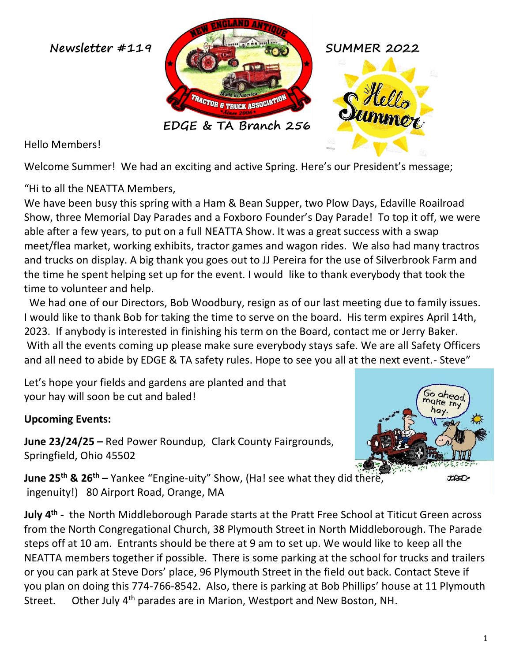

Hello Members!

Welcome Summer! We had an exciting and active Spring. Here's our President's message;

"Hi to all the NEATTA Members,

We have been busy this spring with a Ham & Bean Supper, two Plow Days, Edaville Roailroad Show, three Memorial Day Parades and a Foxboro Founder's Day Parade! To top it off, we were able after a few years, to put on a full NEATTA Show. It was a great success with a swap meet/flea market, working exhibits, tractor games and wagon rides. We also had many tractros and trucks on display. A big thank you goes out to JJ Pereira for the use of Silverbrook Farm and the time he spent helping set up for the event. I would like to thank everybody that took the time to volunteer and help.

 We had one of our Directors, Bob Woodbury, resign as of our last meeting due to family issues. I would like to thank Bob for taking the time to serve on the board. His term expires April 14th, 2023. If anybody is interested in finishing his term on the Board, contact me or Jerry Baker. With all the events coming up please make sure everybody stays safe. We are all Safety Officers and all need to abide by EDGE & TA safety rules. Hope to see you all at the next event.- Steve"

Let's hope your fields and gardens are planted and that your hay will soon be cut and baled!

## **Upcoming Events:**

**June 23/24/25 –** Red Power Roundup, Clark County Fairgrounds, Springfield, Ohio 45502



**June 25th & 26th –** Yankee "Engine-uity" Show, (Ha! see what they did there, ingenuity!) 80 Airport Road, Orange, MA

**July 4th -** the North Middleborough Parade starts at the Pratt Free School at Titicut Green across from the North Congregational Church, 38 Plymouth Street in North Middleborough. The Parade steps off at 10 am. Entrants should be there at 9 am to set up. We would like to keep all the NEATTA members together if possible. There is some parking at the school for trucks and trailers or you can park at Steve Dors' place, 96 Plymouth Street in the field out back. Contact Steve if you plan on doing this 774-766-8542. Also, there is parking at Bob Phillips' house at 11 Plymouth Street. Other July 4<sup>th</sup> parades are in Marion, Westport and New Boston, NH.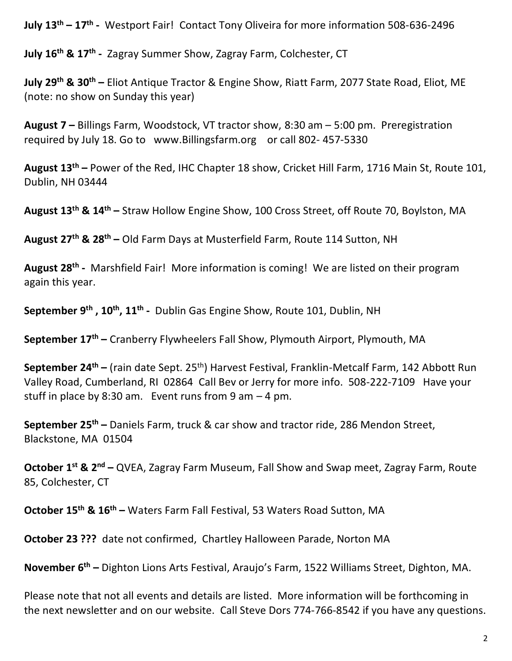**July 13th – 17th -** Westport Fair! Contact Tony Oliveira for more information 508-636-2496

**July 16th & 17th -** Zagray Summer Show, Zagray Farm, Colchester, CT

**July 29th & 30th –** Eliot Antique Tractor & Engine Show, Riatt Farm, 2077 State Road, Eliot, ME (note: no show on Sunday this year)

**August 7 –** Billings Farm, Woodstock, VT tractor show, 8:30 am – 5:00 pm. Preregistration required by July 18. Go to www.Billingsfarm.org or call 802-457-5330

**August 13th –** Power of the Red, IHC Chapter 18 show, Cricket Hill Farm, 1716 Main St, Route 101, Dublin, NH 03444

**August 13th & 14th –** Straw Hollow Engine Show, 100 Cross Street, off Route 70, Boylston, MA

**August 27th & 28th –** Old Farm Days at Musterfield Farm, Route 114 Sutton, NH

**August 28th -** Marshfield Fair! More information is coming! We are listed on their program again this year.

**September 9th , 10th , 11th -** Dublin Gas Engine Show, Route 101, Dublin, NH

**September 17th –** Cranberry Flywheelers Fall Show, Plymouth Airport, Plymouth, MA

**September 24th –** (rain date Sept. 25th) Harvest Festival, Franklin-Metcalf Farm, 142 Abbott Run Valley Road, Cumberland, RI 02864 Call Bev or Jerry for more info. 508-222-7109 Have your stuff in place by 8:30 am. Event runs from 9 am  $-4$  pm.

**September 25<sup>th</sup> –** Daniels Farm, truck & car show and tractor ride, 286 Mendon Street, Blackstone, MA 01504

**October 1st & 2nd –** QVEA, Zagray Farm Museum, Fall Show and Swap meet, Zagray Farm, Route 85, Colchester, CT

**October 15th & 16th –** Waters Farm Fall Festival, 53 Waters Road Sutton, MA

**October 23 ???** date not confirmed, Chartley Halloween Parade, Norton MA

**November 6th –** Dighton Lions Arts Festival, Araujo's Farm, 1522 Williams Street, Dighton, MA.

Please note that not all events and details are listed. More information will be forthcoming in the next newsletter and on our website. Call Steve Dors 774-766-8542 if you have any questions.